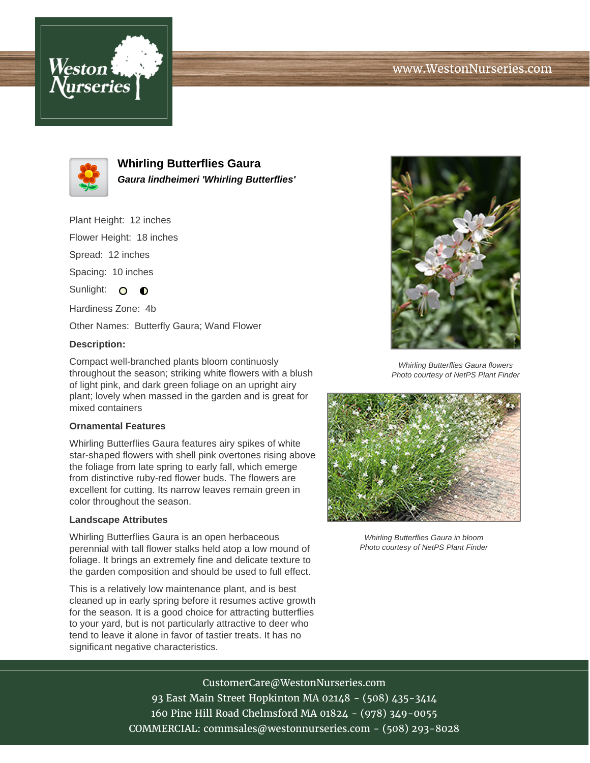



**Whirling Butterflies Gaura Gaura lindheimeri 'Whirling Butterflies'**

Plant Height: 12 inches

Flower Height: 18 inches

Spread: 12 inches

Spacing: 10 inches

Sunlight: O  $\bullet$ 

Hardiness Zone: 4b

Other Names: Butterfly Gaura; Wand Flower

## **Description:**

Compact well-branched plants bloom continuosly throughout the season; striking white flowers with a blush of light pink, and dark green foliage on an upright airy plant; lovely when massed in the garden and is great for mixed containers

## **Ornamental Features**

Whirling Butterflies Gaura features airy spikes of white star-shaped flowers with shell pink overtones rising above the foliage from late spring to early fall, which emerge from distinctive ruby-red flower buds. The flowers are excellent for cutting. Its narrow leaves remain green in color throughout the season.

## **Landscape Attributes**

Whirling Butterflies Gaura is an open herbaceous perennial with tall flower stalks held atop a low mound of foliage. It brings an extremely fine and delicate texture to the garden composition and should be used to full effect.

This is a relatively low maintenance plant, and is best cleaned up in early spring before it resumes active growth for the season. It is a good choice for attracting butterflies to your yard, but is not particularly attractive to deer who tend to leave it alone in favor of tastier treats. It has no significant negative characteristics.



Whirling Butterflies Gaura flowers Photo courtesy of NetPS Plant Finder



Whirling Butterflies Gaura in bloom Photo courtesy of NetPS Plant Finder

CustomerCare@WestonNurseries.com 93 East Main Street Hopkinton MA 02148 - (508) 435-3414 160 Pine Hill Road Chelmsford MA 01824 - (978) 349-0055 COMMERCIAL: commsales@westonnurseries.com - (508) 293-8028